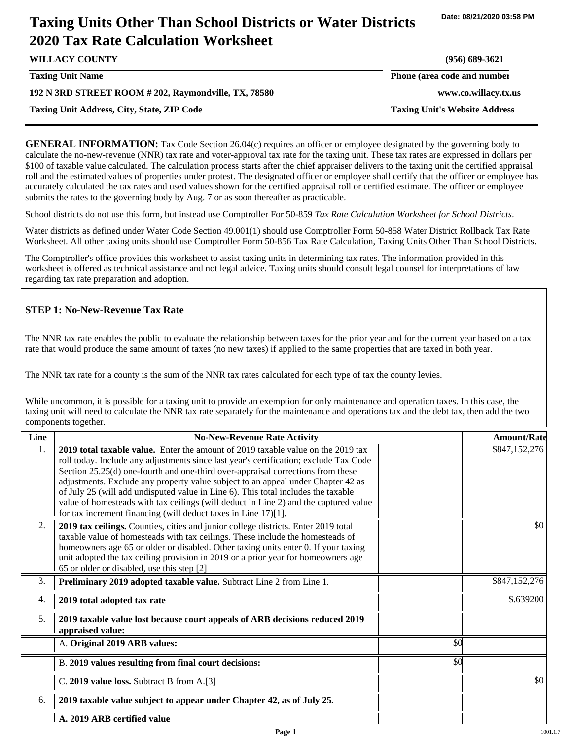# **Taxing Units Other Than School Districts or Water Districts 2020 Tax Rate Calculation Worksheet**

| <b>WILLACY COUNTY</b>                                | $(956)$ 689-3621                     |
|------------------------------------------------------|--------------------------------------|
| <b>Taxing Unit Name</b>                              | Phone (area code and number          |
| 192 N 3RD STREET ROOM # 202, Raymondville, TX, 78580 | www.co.willacy.tx.us                 |
| <b>Taxing Unit Address, City, State, ZIP Code</b>    | <b>Taxing Unit's Website Address</b> |
|                                                      |                                      |

**GENERAL INFORMATION:** Tax Code Section 26.04(c) requires an officer or employee designated by the governing body to calculate the no-new-revenue (NNR) tax rate and voter-approval tax rate for the taxing unit. These tax rates are expressed in dollars per \$100 of taxable value calculated. The calculation process starts after the chief appraiser delivers to the taxing unit the certified appraisal roll and the estimated values of properties under protest. The designated officer or employee shall certify that the officer or employee has accurately calculated the tax rates and used values shown for the certified appraisal roll or certified estimate. The officer or employee submits the rates to the governing body by Aug. 7 or as soon thereafter as practicable.

School districts do not use this form, but instead use Comptroller For 50-859 *Tax Rate Calculation Worksheet for School Districts*.

Water districts as defined under Water Code Section 49.001(1) should use Comptroller Form 50-858 Water District Rollback Tax Rate Worksheet. All other taxing units should use Comptroller Form 50-856 Tax Rate Calculation, Taxing Units Other Than School Districts.

The Comptroller's office provides this worksheet to assist taxing units in determining tax rates. The information provided in this worksheet is offered as technical assistance and not legal advice. Taxing units should consult legal counsel for interpretations of law regarding tax rate preparation and adoption.

### **STEP 1: No-New-Revenue Tax Rate**

The NNR tax rate enables the public to evaluate the relationship between taxes for the prior year and for the current year based on a tax rate that would produce the same amount of taxes (no new taxes) if applied to the same properties that are taxed in both year.

The NNR tax rate for a county is the sum of the NNR tax rates calculated for each type of tax the county levies.

While uncommon, it is possible for a taxing unit to provide an exemption for only maintenance and operation taxes. In this case, the taxing unit will need to calculate the NNR tax rate separately for the maintenance and operations tax and the debt tax, then add the two components together.

| Line | <b>No-New-Revenue Rate Activity</b>                                                                                                                                                                                                                                                                                                                                                                                                                                                                                                                                                             |     | <b>Amount/Rate</b> |
|------|-------------------------------------------------------------------------------------------------------------------------------------------------------------------------------------------------------------------------------------------------------------------------------------------------------------------------------------------------------------------------------------------------------------------------------------------------------------------------------------------------------------------------------------------------------------------------------------------------|-----|--------------------|
| 1.   | 2019 total taxable value. Enter the amount of 2019 taxable value on the 2019 tax<br>roll today. Include any adjustments since last year's certification; exclude Tax Code<br>Section 25.25(d) one-fourth and one-third over-appraisal corrections from these<br>adjustments. Exclude any property value subject to an appeal under Chapter 42 as<br>of July 25 (will add undisputed value in Line 6). This total includes the taxable<br>value of homesteads with tax ceilings (will deduct in Line 2) and the captured value<br>for tax increment financing (will deduct taxes in Line 17)[1]. |     | \$847,152,276      |
| 2.   | 2019 tax ceilings. Counties, cities and junior college districts. Enter 2019 total<br>taxable value of homesteads with tax ceilings. These include the homesteads of<br>homeowners age 65 or older or disabled. Other taxing units enter 0. If your taxing<br>unit adopted the tax ceiling provision in 2019 or a prior year for homeowners age<br>65 or older or disabled, use this step [2]                                                                                                                                                                                                   |     | \$0                |
| 3.   | Preliminary 2019 adopted taxable value. Subtract Line 2 from Line 1.                                                                                                                                                                                                                                                                                                                                                                                                                                                                                                                            |     | \$847,152,276      |
| 4.   | 2019 total adopted tax rate                                                                                                                                                                                                                                                                                                                                                                                                                                                                                                                                                                     |     | \$.639200          |
| 5.   | 2019 taxable value lost because court appeals of ARB decisions reduced 2019<br>appraised value:                                                                                                                                                                                                                                                                                                                                                                                                                                                                                                 |     |                    |
|      | A. Original 2019 ARB values:                                                                                                                                                                                                                                                                                                                                                                                                                                                                                                                                                                    | \$0 |                    |
|      | B. 2019 values resulting from final court decisions:                                                                                                                                                                                                                                                                                                                                                                                                                                                                                                                                            | \$0 |                    |
|      | C. 2019 value loss. Subtract B from A.[3]                                                                                                                                                                                                                                                                                                                                                                                                                                                                                                                                                       |     | \$0                |
| 6.   | 2019 taxable value subject to appear under Chapter 42, as of July 25.                                                                                                                                                                                                                                                                                                                                                                                                                                                                                                                           |     |                    |
|      | A. 2019 ARB certified value                                                                                                                                                                                                                                                                                                                                                                                                                                                                                                                                                                     |     |                    |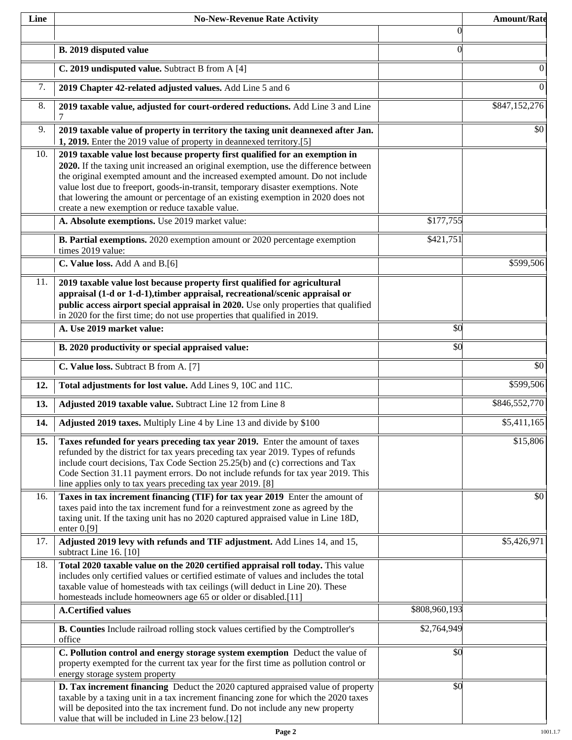| Line | <b>No-New-Revenue Rate Activity</b>                                                                                                                                                                                                                                                                                                                                                                                                                                                |                | <b>Amount/Rate</b>      |
|------|------------------------------------------------------------------------------------------------------------------------------------------------------------------------------------------------------------------------------------------------------------------------------------------------------------------------------------------------------------------------------------------------------------------------------------------------------------------------------------|----------------|-------------------------|
|      |                                                                                                                                                                                                                                                                                                                                                                                                                                                                                    | $\theta$       |                         |
|      | B. 2019 disputed value                                                                                                                                                                                                                                                                                                                                                                                                                                                             | $\overline{0}$ |                         |
|      | C. 2019 undisputed value. Subtract B from A [4]                                                                                                                                                                                                                                                                                                                                                                                                                                    |                | 0                       |
| 7.   | 2019 Chapter 42-related adjusted values. Add Line 5 and 6                                                                                                                                                                                                                                                                                                                                                                                                                          |                | $\overline{0}$          |
| 8.   | 2019 taxable value, adjusted for court-ordered reductions. Add Line 3 and Line<br>7                                                                                                                                                                                                                                                                                                                                                                                                |                | \$847,152,276           |
| 9.   | 2019 taxable value of property in territory the taxing unit deannexed after Jan.<br>1, 2019. Enter the 2019 value of property in deannexed territory.[5]                                                                                                                                                                                                                                                                                                                           |                | \$0                     |
| 10.  | 2019 taxable value lost because property first qualified for an exemption in<br>2020. If the taxing unit increased an original exemption, use the difference between<br>the original exempted amount and the increased exempted amount. Do not include<br>value lost due to freeport, goods-in-transit, temporary disaster exemptions. Note<br>that lowering the amount or percentage of an existing exemption in 2020 does not<br>create a new exemption or reduce taxable value. |                |                         |
|      | A. Absolute exemptions. Use 2019 market value:                                                                                                                                                                                                                                                                                                                                                                                                                                     | \$177,755      |                         |
|      | <b>B. Partial exemptions.</b> 2020 exemption amount or 2020 percentage exemption<br>times 2019 value:                                                                                                                                                                                                                                                                                                                                                                              | \$421,751      |                         |
|      | C. Value loss. Add A and B.[6]                                                                                                                                                                                                                                                                                                                                                                                                                                                     |                | \$599,506               |
| 11.  | 2019 taxable value lost because property first qualified for agricultural<br>appraisal (1-d or 1-d-1), timber appraisal, recreational/scenic appraisal or<br>public access airport special appraisal in 2020. Use only properties that qualified<br>in 2020 for the first time; do not use properties that qualified in 2019.                                                                                                                                                      |                |                         |
|      | A. Use 2019 market value:                                                                                                                                                                                                                                                                                                                                                                                                                                                          | \$0            |                         |
|      | B. 2020 productivity or special appraised value:                                                                                                                                                                                                                                                                                                                                                                                                                                   | \$0            |                         |
|      | C. Value loss. Subtract B from A. [7]                                                                                                                                                                                                                                                                                                                                                                                                                                              |                | \$0                     |
| 12.  | Total adjustments for lost value. Add Lines 9, 10C and 11C.                                                                                                                                                                                                                                                                                                                                                                                                                        |                | \$599,506               |
| 13.  | Adjusted 2019 taxable value. Subtract Line 12 from Line 8                                                                                                                                                                                                                                                                                                                                                                                                                          |                | \$846,552,770           |
| 14.  | Adjusted 2019 taxes. Multiply Line 4 by Line 13 and divide by \$100                                                                                                                                                                                                                                                                                                                                                                                                                |                | $\overline{$5,411,165}$ |
| 15.  | Taxes refunded for years preceding tax year 2019. Enter the amount of taxes<br>refunded by the district for tax years preceding tax year 2019. Types of refunds<br>include court decisions, Tax Code Section 25.25(b) and (c) corrections and Tax<br>Code Section 31.11 payment errors. Do not include refunds for tax year 2019. This<br>line applies only to tax years preceding tax year 2019. [8]                                                                              |                | \$15,806                |
| 16.  | Taxes in tax increment financing (TIF) for tax year 2019 Enter the amount of<br>taxes paid into the tax increment fund for a reinvestment zone as agreed by the<br>taxing unit. If the taxing unit has no 2020 captured appraised value in Line 18D,<br>enter $0.9$ ]                                                                                                                                                                                                              |                | \$0                     |
| 17.  | Adjusted 2019 levy with refunds and TIF adjustment. Add Lines 14, and 15,<br>subtract Line 16. [10]                                                                                                                                                                                                                                                                                                                                                                                |                | \$5,426,971             |
| 18.  | Total 2020 taxable value on the 2020 certified appraisal roll today. This value<br>includes only certified values or certified estimate of values and includes the total<br>taxable value of homesteads with tax ceilings (will deduct in Line 20). These<br>homesteads include homeowners age 65 or older or disabled.[11]                                                                                                                                                        |                |                         |
|      | <b>A.Certified values</b>                                                                                                                                                                                                                                                                                                                                                                                                                                                          | \$808,960,193  |                         |
|      | B. Counties Include railroad rolling stock values certified by the Comptroller's<br>office                                                                                                                                                                                                                                                                                                                                                                                         | \$2,764,949    |                         |
|      | C. Pollution control and energy storage system exemption Deduct the value of<br>property exempted for the current tax year for the first time as pollution control or<br>energy storage system property                                                                                                                                                                                                                                                                            | \$0            |                         |
|      | D. Tax increment financing Deduct the 2020 captured appraised value of property<br>taxable by a taxing unit in a tax increment financing zone for which the 2020 taxes<br>will be deposited into the tax increment fund. Do not include any new property<br>value that will be included in Line 23 below.[12]                                                                                                                                                                      | \$0            |                         |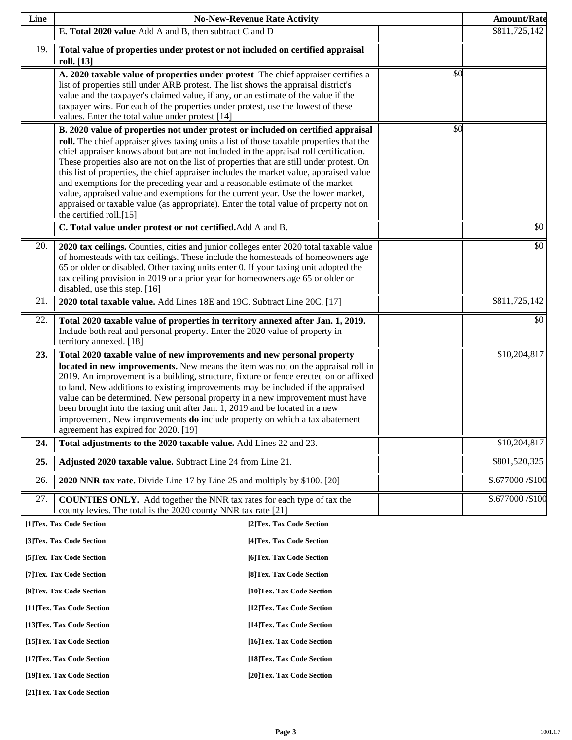| Line | <b>No-New-Revenue Rate Activity</b>                                                                                                                                                                                                                                                                                                                                                                                                                                                                                                                                                                                                                                                                                                                    |                           |                 | <b>Amount/Rate</b> |
|------|--------------------------------------------------------------------------------------------------------------------------------------------------------------------------------------------------------------------------------------------------------------------------------------------------------------------------------------------------------------------------------------------------------------------------------------------------------------------------------------------------------------------------------------------------------------------------------------------------------------------------------------------------------------------------------------------------------------------------------------------------------|---------------------------|-----------------|--------------------|
|      | E. Total 2020 value Add A and B, then subtract C and D                                                                                                                                                                                                                                                                                                                                                                                                                                                                                                                                                                                                                                                                                                 |                           |                 | \$811,725,142      |
| 19.  | Total value of properties under protest or not included on certified appraisal<br>roll. [13]                                                                                                                                                                                                                                                                                                                                                                                                                                                                                                                                                                                                                                                           |                           |                 |                    |
|      | A. 2020 taxable value of properties under protest The chief appraiser certifies a<br>list of properties still under ARB protest. The list shows the appraisal district's<br>value and the taxpayer's claimed value, if any, or an estimate of the value if the<br>taxpayer wins. For each of the properties under protest, use the lowest of these<br>values. Enter the total value under protest [14]                                                                                                                                                                                                                                                                                                                                                 |                           | \$0             |                    |
|      | B. 2020 value of properties not under protest or included on certified appraisal<br>roll. The chief appraiser gives taxing units a list of those taxable properties that the<br>chief appraiser knows about but are not included in the appraisal roll certification.<br>These properties also are not on the list of properties that are still under protest. On<br>this list of properties, the chief appraiser includes the market value, appraised value<br>and exemptions for the preceding year and a reasonable estimate of the market<br>value, appraised value and exemptions for the current year. Use the lower market,<br>appraised or taxable value (as appropriate). Enter the total value of property not on<br>the certified roll.[15] |                           | $\overline{50}$ |                    |
|      | C. Total value under protest or not certified. Add A and B.                                                                                                                                                                                                                                                                                                                                                                                                                                                                                                                                                                                                                                                                                            |                           |                 | \$0                |
| 20.  | 2020 tax ceilings. Counties, cities and junior colleges enter 2020 total taxable value<br>of homesteads with tax ceilings. These include the homesteads of homeowners age<br>65 or older or disabled. Other taxing units enter 0. If your taxing unit adopted the<br>tax ceiling provision in 2019 or a prior year for homeowners age 65 or older or<br>disabled, use this step. [16]                                                                                                                                                                                                                                                                                                                                                                  |                           |                 | \$0                |
| 21.  | 2020 total taxable value. Add Lines 18E and 19C. Subtract Line 20C. [17]                                                                                                                                                                                                                                                                                                                                                                                                                                                                                                                                                                                                                                                                               |                           |                 | \$811,725,142      |
| 22.  | Total 2020 taxable value of properties in territory annexed after Jan. 1, 2019.<br>Include both real and personal property. Enter the 2020 value of property in<br>territory annexed. [18]                                                                                                                                                                                                                                                                                                                                                                                                                                                                                                                                                             |                           |                 | \$0                |
| 23.  | Total 2020 taxable value of new improvements and new personal property                                                                                                                                                                                                                                                                                                                                                                                                                                                                                                                                                                                                                                                                                 |                           |                 | \$10,204,817       |
|      | located in new improvements. New means the item was not on the appraisal roll in<br>2019. An improvement is a building, structure, fixture or fence erected on or affixed<br>to land. New additions to existing improvements may be included if the appraised<br>value can be determined. New personal property in a new improvement must have<br>been brought into the taxing unit after Jan. 1, 2019 and be located in a new<br>improvement. New improvements do include property on which a tax abatement<br>agreement has expired for 2020. [19]                                                                                                                                                                                                   |                           |                 |                    |
| 24.  | Total adjustments to the 2020 taxable value. Add Lines 22 and 23.                                                                                                                                                                                                                                                                                                                                                                                                                                                                                                                                                                                                                                                                                      |                           |                 | \$10,204,817       |
| 25.  | Adjusted 2020 taxable value. Subtract Line 24 from Line 21.                                                                                                                                                                                                                                                                                                                                                                                                                                                                                                                                                                                                                                                                                            |                           |                 | \$801,520,325      |
| 26.  | 2020 NNR tax rate. Divide Line 17 by Line 25 and multiply by \$100. [20]                                                                                                                                                                                                                                                                                                                                                                                                                                                                                                                                                                                                                                                                               |                           |                 | \$.677000 / \$100  |
| 27.  | <b>COUNTIES ONLY.</b> Add together the NNR tax rates for each type of tax the<br>county levies. The total is the 2020 county NNR tax rate [21]                                                                                                                                                                                                                                                                                                                                                                                                                                                                                                                                                                                                         |                           |                 | \$.677000 / \$100  |
|      | [1]Tex. Tax Code Section                                                                                                                                                                                                                                                                                                                                                                                                                                                                                                                                                                                                                                                                                                                               | [2]Tex. Tax Code Section  |                 |                    |
|      | [3]Tex. Tax Code Section                                                                                                                                                                                                                                                                                                                                                                                                                                                                                                                                                                                                                                                                                                                               | [4] Tex. Tax Code Section |                 |                    |
|      | [5] Tex. Tax Code Section                                                                                                                                                                                                                                                                                                                                                                                                                                                                                                                                                                                                                                                                                                                              | [6]Tex. Tax Code Section  |                 |                    |
|      | [7] Tex. Tax Code Section                                                                                                                                                                                                                                                                                                                                                                                                                                                                                                                                                                                                                                                                                                                              | [8] Tex. Tax Code Section |                 |                    |
|      | [9]Tex. Tax Code Section                                                                                                                                                                                                                                                                                                                                                                                                                                                                                                                                                                                                                                                                                                                               | [10]Tex. Tax Code Section |                 |                    |
|      | [11]Tex. Tax Code Section                                                                                                                                                                                                                                                                                                                                                                                                                                                                                                                                                                                                                                                                                                                              | [12]Tex. Tax Code Section |                 |                    |

**[13]Tex. Tax Code Section [14]Tex. Tax Code Section** 

**[15]Tex. Tax Code Section [16]Tex. Tax Code Section** 

**[17]Tex. Tax Code Section [18]Tex. Tax Code Section** 

**[19]Tex. Tax Code Section [20]Tex. Tax Code Section** 

**[21]Tex. Tax Code Section**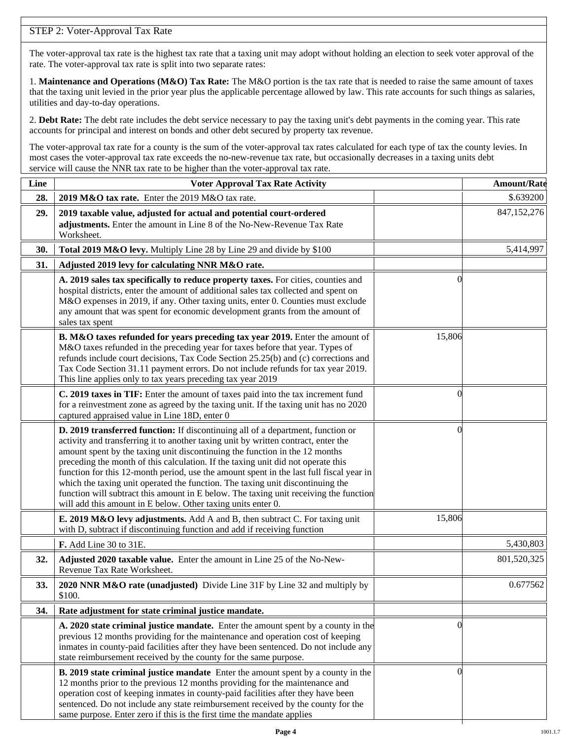# STEP 2: Voter-Approval Tax Rate

The voter-approval tax rate is the highest tax rate that a taxing unit may adopt without holding an election to seek voter approval of the rate. The voter-approval tax rate is split into two separate rates:

1. **Maintenance and Operations (M&O) Tax Rate:** The M&O portion is the tax rate that is needed to raise the same amount of taxes that the taxing unit levied in the prior year plus the applicable percentage allowed by law. This rate accounts for such things as salaries, utilities and day-to-day operations.

2. **Debt Rate:** The debt rate includes the debt service necessary to pay the taxing unit's debt payments in the coming year. This rate accounts for principal and interest on bonds and other debt secured by property tax revenue.

The voter-approval tax rate for a county is the sum of the voter-approval tax rates calculated for each type of tax the county levies. In most cases the voter-approval tax rate exceeds the no-new-revenue tax rate, but occasionally decreases in a taxing units debt service will cause the NNR tax rate to be higher than the voter-approval tax rate.

| Line | <b>Voter Approval Tax Rate Activity</b>                                                                                                                                                                                                                                                                                                                                                                                                                                                                                                                                                                                                                                        |          | <b>Amount/Rate</b> |
|------|--------------------------------------------------------------------------------------------------------------------------------------------------------------------------------------------------------------------------------------------------------------------------------------------------------------------------------------------------------------------------------------------------------------------------------------------------------------------------------------------------------------------------------------------------------------------------------------------------------------------------------------------------------------------------------|----------|--------------------|
| 28.  | 2019 M&O tax rate. Enter the 2019 M&O tax rate.                                                                                                                                                                                                                                                                                                                                                                                                                                                                                                                                                                                                                                |          | \$.639200          |
| 29.  | 2019 taxable value, adjusted for actual and potential court-ordered<br>adjustments. Enter the amount in Line 8 of the No-New-Revenue Tax Rate<br>Worksheet.                                                                                                                                                                                                                                                                                                                                                                                                                                                                                                                    |          | 847,152,276        |
| 30.  | Total 2019 M&O levy. Multiply Line 28 by Line 29 and divide by \$100                                                                                                                                                                                                                                                                                                                                                                                                                                                                                                                                                                                                           |          | 5,414,997          |
| 31.  | Adjusted 2019 levy for calculating NNR M&O rate.                                                                                                                                                                                                                                                                                                                                                                                                                                                                                                                                                                                                                               |          |                    |
|      | A. 2019 sales tax specifically to reduce property taxes. For cities, counties and<br>hospital districts, enter the amount of additional sales tax collected and spent on<br>M&O expenses in 2019, if any. Other taxing units, enter 0. Counties must exclude<br>any amount that was spent for economic development grants from the amount of<br>sales tax spent                                                                                                                                                                                                                                                                                                                |          |                    |
|      | B. M&O taxes refunded for years preceding tax year 2019. Enter the amount of<br>M&O taxes refunded in the preceding year for taxes before that year. Types of<br>refunds include court decisions, Tax Code Section 25.25(b) and (c) corrections and<br>Tax Code Section 31.11 payment errors. Do not include refunds for tax year 2019.<br>This line applies only to tax years preceding tax year 2019                                                                                                                                                                                                                                                                         | 15,806   |                    |
|      | C. 2019 taxes in TIF: Enter the amount of taxes paid into the tax increment fund<br>for a reinvestment zone as agreed by the taxing unit. If the taxing unit has no 2020<br>captured appraised value in Line 18D, enter 0                                                                                                                                                                                                                                                                                                                                                                                                                                                      | $\theta$ |                    |
|      | D. 2019 transferred function: If discontinuing all of a department, function or<br>activity and transferring it to another taxing unit by written contract, enter the<br>amount spent by the taxing unit discontinuing the function in the 12 months<br>preceding the month of this calculation. If the taxing unit did not operate this<br>function for this 12-month period, use the amount spent in the last full fiscal year in<br>which the taxing unit operated the function. The taxing unit discontinuing the<br>function will subtract this amount in E below. The taxing unit receiving the function<br>will add this amount in E below. Other taxing units enter 0. | 0        |                    |
|      | E. 2019 M&O levy adjustments. Add A and B, then subtract C. For taxing unit<br>with D, subtract if discontinuing function and add if receiving function                                                                                                                                                                                                                                                                                                                                                                                                                                                                                                                        | 15,806   |                    |
|      | F. Add Line 30 to 31E.                                                                                                                                                                                                                                                                                                                                                                                                                                                                                                                                                                                                                                                         |          | 5,430,803          |
| 32.  | Adjusted 2020 taxable value. Enter the amount in Line 25 of the No-New-<br>Revenue Tax Rate Worksheet.                                                                                                                                                                                                                                                                                                                                                                                                                                                                                                                                                                         |          | 801,520,325        |
| 33.  | 2020 NNR M&O rate (unadjusted) Divide Line 31F by Line 32 and multiply by<br>\$100.                                                                                                                                                                                                                                                                                                                                                                                                                                                                                                                                                                                            |          | 0.677562           |
| 34.  | Rate adjustment for state criminal justice mandate.                                                                                                                                                                                                                                                                                                                                                                                                                                                                                                                                                                                                                            |          |                    |
|      | A. 2020 state criminal justice mandate. Enter the amount spent by a county in the<br>previous 12 months providing for the maintenance and operation cost of keeping<br>inmates in county-paid facilities after they have been sentenced. Do not include any<br>state reimbursement received by the county for the same purpose.                                                                                                                                                                                                                                                                                                                                                | 0        |                    |
|      | <b>B. 2019 state criminal justice mandate</b> Enter the amount spent by a county in the<br>12 months prior to the previous 12 months providing for the maintenance and<br>operation cost of keeping inmates in county-paid facilities after they have been<br>sentenced. Do not include any state reimbursement received by the county for the<br>same purpose. Enter zero if this is the first time the mandate applies                                                                                                                                                                                                                                                       | $\left($ |                    |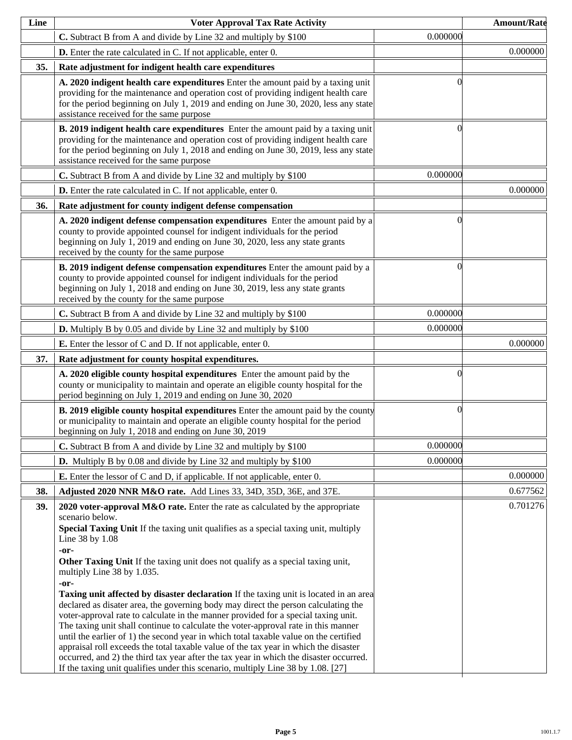| Line | <b>Voter Approval Tax Rate Activity</b>                                                                                                                                                                                                                                                                                                                                                                                                                                                                                                                                                                                                                                                                                                                                                                                                                                                                                                                                                                                                                                      |                  | <b>Amount/Rate</b> |
|------|------------------------------------------------------------------------------------------------------------------------------------------------------------------------------------------------------------------------------------------------------------------------------------------------------------------------------------------------------------------------------------------------------------------------------------------------------------------------------------------------------------------------------------------------------------------------------------------------------------------------------------------------------------------------------------------------------------------------------------------------------------------------------------------------------------------------------------------------------------------------------------------------------------------------------------------------------------------------------------------------------------------------------------------------------------------------------|------------------|--------------------|
|      | C. Subtract B from A and divide by Line 32 and multiply by \$100                                                                                                                                                                                                                                                                                                                                                                                                                                                                                                                                                                                                                                                                                                                                                                                                                                                                                                                                                                                                             | 0.000000         |                    |
|      | <b>D.</b> Enter the rate calculated in C. If not applicable, enter 0.                                                                                                                                                                                                                                                                                                                                                                                                                                                                                                                                                                                                                                                                                                                                                                                                                                                                                                                                                                                                        |                  | 0.000000           |
| 35.  | Rate adjustment for indigent health care expenditures                                                                                                                                                                                                                                                                                                                                                                                                                                                                                                                                                                                                                                                                                                                                                                                                                                                                                                                                                                                                                        |                  |                    |
|      | A. 2020 indigent health care expenditures Enter the amount paid by a taxing unit<br>providing for the maintenance and operation cost of providing indigent health care<br>for the period beginning on July 1, 2019 and ending on June 30, 2020, less any state<br>assistance received for the same purpose                                                                                                                                                                                                                                                                                                                                                                                                                                                                                                                                                                                                                                                                                                                                                                   |                  |                    |
|      | B. 2019 indigent health care expenditures Enter the amount paid by a taxing unit<br>providing for the maintenance and operation cost of providing indigent health care<br>for the period beginning on July 1, 2018 and ending on June 30, 2019, less any state<br>assistance received for the same purpose                                                                                                                                                                                                                                                                                                                                                                                                                                                                                                                                                                                                                                                                                                                                                                   | 0                |                    |
|      | C. Subtract B from A and divide by Line 32 and multiply by \$100                                                                                                                                                                                                                                                                                                                                                                                                                                                                                                                                                                                                                                                                                                                                                                                                                                                                                                                                                                                                             | 0.000000         |                    |
|      | <b>D.</b> Enter the rate calculated in C. If not applicable, enter 0.                                                                                                                                                                                                                                                                                                                                                                                                                                                                                                                                                                                                                                                                                                                                                                                                                                                                                                                                                                                                        |                  | 0.000000           |
| 36.  | Rate adjustment for county indigent defense compensation                                                                                                                                                                                                                                                                                                                                                                                                                                                                                                                                                                                                                                                                                                                                                                                                                                                                                                                                                                                                                     |                  |                    |
|      | A. 2020 indigent defense compensation expenditures Enter the amount paid by a<br>county to provide appointed counsel for indigent individuals for the period<br>beginning on July 1, 2019 and ending on June 30, 2020, less any state grants<br>received by the county for the same purpose                                                                                                                                                                                                                                                                                                                                                                                                                                                                                                                                                                                                                                                                                                                                                                                  | $\left( \right)$ |                    |
|      | B. 2019 indigent defense compensation expenditures Enter the amount paid by a<br>county to provide appointed counsel for indigent individuals for the period<br>beginning on July 1, 2018 and ending on June 30, 2019, less any state grants<br>received by the county for the same purpose                                                                                                                                                                                                                                                                                                                                                                                                                                                                                                                                                                                                                                                                                                                                                                                  | 0                |                    |
|      | C. Subtract B from A and divide by Line 32 and multiply by \$100                                                                                                                                                                                                                                                                                                                                                                                                                                                                                                                                                                                                                                                                                                                                                                                                                                                                                                                                                                                                             | 0.000000         |                    |
|      | <b>D.</b> Multiply B by 0.05 and divide by Line 32 and multiply by \$100                                                                                                                                                                                                                                                                                                                                                                                                                                                                                                                                                                                                                                                                                                                                                                                                                                                                                                                                                                                                     | 0.000000         |                    |
|      | <b>E.</b> Enter the lessor of C and D. If not applicable, enter 0.                                                                                                                                                                                                                                                                                                                                                                                                                                                                                                                                                                                                                                                                                                                                                                                                                                                                                                                                                                                                           |                  | 0.000000           |
| 37.  | Rate adjustment for county hospital expenditures.                                                                                                                                                                                                                                                                                                                                                                                                                                                                                                                                                                                                                                                                                                                                                                                                                                                                                                                                                                                                                            |                  |                    |
|      | A. 2020 eligible county hospital expenditures Enter the amount paid by the<br>county or municipality to maintain and operate an eligible county hospital for the<br>period beginning on July 1, 2019 and ending on June 30, 2020                                                                                                                                                                                                                                                                                                                                                                                                                                                                                                                                                                                                                                                                                                                                                                                                                                             | 0                |                    |
|      | <b>B. 2019 eligible county hospital expenditures</b> Enter the amount paid by the county<br>or municipality to maintain and operate an eligible county hospital for the period<br>beginning on July 1, 2018 and ending on June 30, 2019                                                                                                                                                                                                                                                                                                                                                                                                                                                                                                                                                                                                                                                                                                                                                                                                                                      | $\Omega$         |                    |
|      | C. Subtract B from A and divide by Line 32 and multiply by \$100                                                                                                                                                                                                                                                                                                                                                                                                                                                                                                                                                                                                                                                                                                                                                                                                                                                                                                                                                                                                             | 0.000000         |                    |
|      | <b>D.</b> Multiply B by 0.08 and divide by Line 32 and multiply by \$100                                                                                                                                                                                                                                                                                                                                                                                                                                                                                                                                                                                                                                                                                                                                                                                                                                                                                                                                                                                                     | 0.000000         |                    |
|      | <b>E.</b> Enter the lessor of C and D, if applicable. If not applicable, enter 0.                                                                                                                                                                                                                                                                                                                                                                                                                                                                                                                                                                                                                                                                                                                                                                                                                                                                                                                                                                                            |                  | 0.000000           |
| 38.  | Adjusted 2020 NNR M&O rate. Add Lines 33, 34D, 35D, 36E, and 37E.                                                                                                                                                                                                                                                                                                                                                                                                                                                                                                                                                                                                                                                                                                                                                                                                                                                                                                                                                                                                            |                  | 0.677562           |
| 39.  | 2020 voter-approval M&O rate. Enter the rate as calculated by the appropriate<br>scenario below.<br>Special Taxing Unit If the taxing unit qualifies as a special taxing unit, multiply<br>Line 38 by 1.08<br>-or-<br>Other Taxing Unit If the taxing unit does not qualify as a special taxing unit,<br>multiply Line 38 by 1.035.<br>-or-<br><b>Taxing unit affected by disaster declaration</b> If the taxing unit is located in an area<br>declared as disater area, the governing body may direct the person calculating the<br>voter-approval rate to calculate in the manner provided for a special taxing unit.<br>The taxing unit shall continue to calculate the voter-approval rate in this manner<br>until the earlier of 1) the second year in which total taxable value on the certified<br>appraisal roll exceeds the total taxable value of the tax year in which the disaster<br>occurred, and 2) the third tax year after the tax year in which the disaster occurred.<br>If the taxing unit qualifies under this scenario, multiply Line 38 by 1.08. [27] |                  | 0.701276           |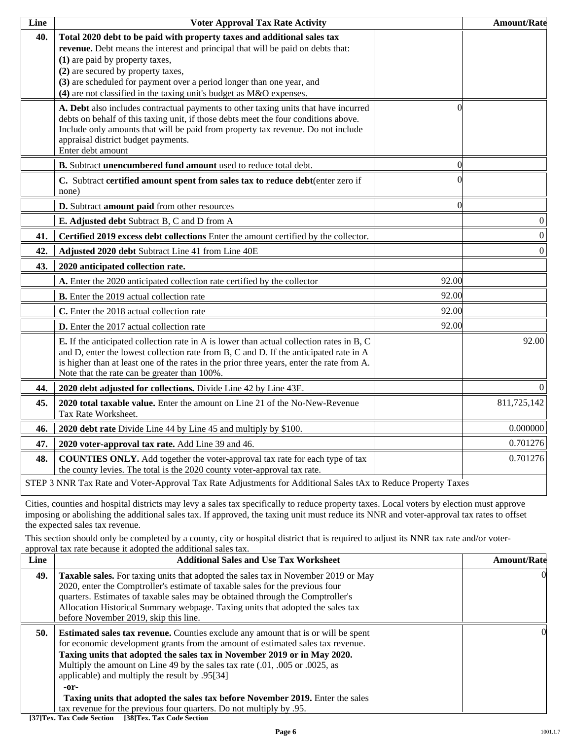| Line | <b>Voter Approval Tax Rate Activity</b>                                                                                                                                                                                                                                                                                                                                             |          | <b>Amount/Rate</b> |
|------|-------------------------------------------------------------------------------------------------------------------------------------------------------------------------------------------------------------------------------------------------------------------------------------------------------------------------------------------------------------------------------------|----------|--------------------|
| 40.  | Total 2020 debt to be paid with property taxes and additional sales tax<br>revenue. Debt means the interest and principal that will be paid on debts that:<br>(1) are paid by property taxes,<br>(2) are secured by property taxes,<br>(3) are scheduled for payment over a period longer than one year, and<br>(4) are not classified in the taxing unit's budget as M&O expenses. |          |                    |
|      | A. Debt also includes contractual payments to other taxing units that have incurred<br>debts on behalf of this taxing unit, if those debts meet the four conditions above.<br>Include only amounts that will be paid from property tax revenue. Do not include<br>appraisal district budget payments.<br>Enter debt amount                                                          |          |                    |
|      | B. Subtract unencumbered fund amount used to reduce total debt.                                                                                                                                                                                                                                                                                                                     | $\Omega$ |                    |
|      | C. Subtract certified amount spent from sales tax to reduce debt(enter zero if<br>none)                                                                                                                                                                                                                                                                                             |          |                    |
|      | D. Subtract amount paid from other resources                                                                                                                                                                                                                                                                                                                                        | 0        |                    |
|      | E. Adjusted debt Subtract B, C and D from A                                                                                                                                                                                                                                                                                                                                         |          | $\boldsymbol{0}$   |
| 41.  | Certified 2019 excess debt collections Enter the amount certified by the collector.                                                                                                                                                                                                                                                                                                 |          | $\boldsymbol{0}$   |
| 42.  | Adjusted 2020 debt Subtract Line 41 from Line 40E                                                                                                                                                                                                                                                                                                                                   |          | $\overline{0}$     |
| 43.  | 2020 anticipated collection rate.                                                                                                                                                                                                                                                                                                                                                   |          |                    |
|      | A. Enter the 2020 anticipated collection rate certified by the collector                                                                                                                                                                                                                                                                                                            | 92.00    |                    |
|      | B. Enter the 2019 actual collection rate                                                                                                                                                                                                                                                                                                                                            | 92.00    |                    |
|      | C. Enter the 2018 actual collection rate                                                                                                                                                                                                                                                                                                                                            | 92.00    |                    |
|      | D. Enter the 2017 actual collection rate                                                                                                                                                                                                                                                                                                                                            | 92.00    |                    |
|      | <b>E.</b> If the anticipated collection rate in A is lower than actual collection rates in B, C<br>and D, enter the lowest collection rate from B, C and D. If the anticipated rate in A<br>is higher than at least one of the rates in the prior three years, enter the rate from A.<br>Note that the rate can be greater than 100%.                                               |          | 92.00              |
| 44.  | 2020 debt adjusted for collections. Divide Line 42 by Line 43E.                                                                                                                                                                                                                                                                                                                     |          | $\overline{0}$     |
| 45.  | 2020 total taxable value. Enter the amount on Line 21 of the No-New-Revenue<br>Tax Rate Worksheet.                                                                                                                                                                                                                                                                                  |          | 811,725,142        |
| 46.  | 2020 debt rate Divide Line 44 by Line 45 and multiply by \$100.                                                                                                                                                                                                                                                                                                                     |          | 0.000000           |
| 47.  | 2020 voter-approval tax rate. Add Line 39 and 46.                                                                                                                                                                                                                                                                                                                                   |          | 0.701276           |
| 48.  | <b>COUNTIES ONLY.</b> Add together the voter-approval tax rate for each type of tax<br>the county levies. The total is the 2020 county voter-approval tax rate.                                                                                                                                                                                                                     |          | 0.701276           |
|      | STEP 3 NNR Tax Rate and Voter-Approval Tax Rate Adjustments for Additional Sales tAx to Reduce Property Taxes                                                                                                                                                                                                                                                                       |          |                    |

Cities, counties and hospital districts may levy a sales tax specifically to reduce property taxes. Local voters by election must approve imposing or abolishing the additional sales tax. If approved, the taxing unit must reduce its NNR and voter-approval tax rates to offset the expected sales tax revenue.

This section should only be completed by a county, city or hospital district that is required to adjust its NNR tax rate and/or voterapproval tax rate because it adopted the additional sales tax.

| Line | <b>Additional Sales and Use Tax Worksheet</b>                                                                                                                                                                                                                                                                                                                                                                                                                                                                                                               | <b>Amount/Rate</b> |
|------|-------------------------------------------------------------------------------------------------------------------------------------------------------------------------------------------------------------------------------------------------------------------------------------------------------------------------------------------------------------------------------------------------------------------------------------------------------------------------------------------------------------------------------------------------------------|--------------------|
| 49.  | <b>Taxable sales.</b> For taxing units that adopted the sales tax in November 2019 or May<br>2020, enter the Comptroller's estimate of taxable sales for the previous four<br>quarters. Estimates of taxable sales may be obtained through the Comptroller's<br>Allocation Historical Summary webpage. Taxing units that adopted the sales tax<br>before November 2019, skip this line.                                                                                                                                                                     | 0                  |
| 50.  | <b>Estimated sales tax revenue.</b> Counties exclude any amount that is or will be spent<br>for economic development grants from the amount of estimated sales tax revenue.<br>Taxing units that adopted the sales tax in November 2019 or in May 2020.<br>Multiply the amount on Line 49 by the sales tax rate (.01, .005 or .0025, as<br>applicable) and multiply the result by .95[34]<br>$-0r-$<br>Taxing units that adopted the sales tax before November 2019. Enter the sales<br>tax revenue for the previous four quarters. Do not multiply by .95. | 0                  |

**[37]Tex. Tax Code Section [38]Tex. Tax Code Section**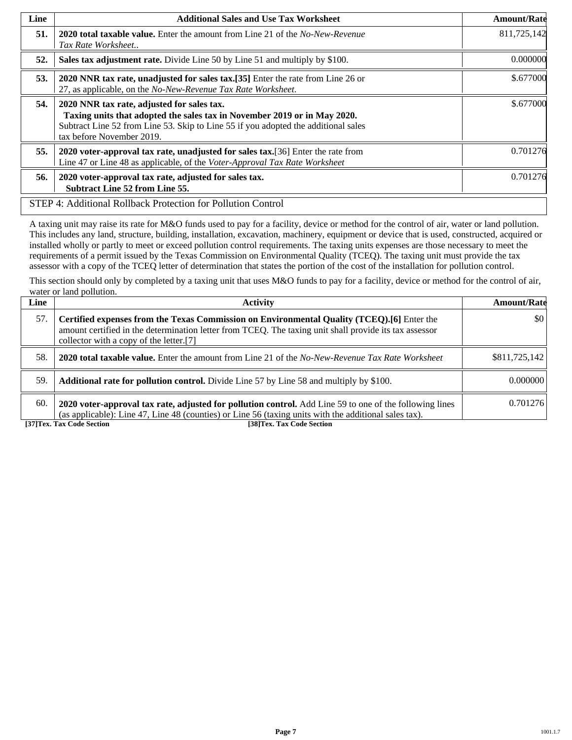| Line | <b>Additional Sales and Use Tax Worksheet</b>                                                                                                                                                                                             | <b>Amount/Rate</b> |
|------|-------------------------------------------------------------------------------------------------------------------------------------------------------------------------------------------------------------------------------------------|--------------------|
| 51.  | <b>2020 total taxable value.</b> Enter the amount from Line 21 of the <i>No-New-Revenue</i><br>Tax Rate Worksheet                                                                                                                         | 811,725,142        |
| 52.  | Sales tax adjustment rate. Divide Line 50 by Line 51 and multiply by \$100.                                                                                                                                                               | 0.000000           |
| 53.  | 2020 NNR tax rate, unadjusted for sales tax.[35] Enter the rate from Line 26 or<br>27, as applicable, on the No-New-Revenue Tax Rate Worksheet.                                                                                           | \$.677000          |
| 54.  | 2020 NNR tax rate, adjusted for sales tax.<br>Taxing units that adopted the sales tax in November 2019 or in May 2020.<br>Subtract Line 52 from Line 53. Skip to Line 55 if you adopted the additional sales<br>tax before November 2019. | \$.677000          |
| 55.  | 2020 voter-approval tax rate, unadjusted for sales tax. [36] Enter the rate from<br>Line 47 or Line 48 as applicable, of the Voter-Approval Tax Rate Worksheet                                                                            | 0.701276           |
| 56.  | 2020 voter-approval tax rate, adjusted for sales tax.<br><b>Subtract Line 52 from Line 55.</b>                                                                                                                                            | 0.701276           |
|      | STEP 4: Additional Rollback Protection for Pollution Control                                                                                                                                                                              |                    |

A taxing unit may raise its rate for M&O funds used to pay for a facility, device or method for the control of air, water or land pollution. This includes any land, structure, building, installation, excavation, machinery, equipment or device that is used, constructed, acquired or installed wholly or partly to meet or exceed pollution control requirements. The taxing units expenses are those necessary to meet the requirements of a permit issued by the Texas Commission on Environmental Quality (TCEQ). The taxing unit must provide the tax assessor with a copy of the TCEQ letter of determination that states the portion of the cost of the installation for pollution control.

This section should only by completed by a taxing unit that uses M&O funds to pay for a facility, device or method for the control of air, water or land pollution.

| Line | <b>Activity</b>                                                                                                                                                                                                                                 | <b>Amount/Rate</b> |
|------|-------------------------------------------------------------------------------------------------------------------------------------------------------------------------------------------------------------------------------------------------|--------------------|
| 57.  | Certified expenses from the Texas Commission on Environmental Quality (TCEQ).[6] Enter the<br>amount certified in the determination letter from TCEQ. The taxing unit shall provide its tax assessor<br>collector with a copy of the letter.[7] | \$0                |
| 58.  | <b>2020 total taxable value.</b> Enter the amount from Line 21 of the No-New-Revenue Tax Rate Worksheet                                                                                                                                         | \$811,725,142      |
| 59.  | <b>Additional rate for pollution control.</b> Divide Line 57 by Line 58 and multiply by \$100.                                                                                                                                                  | 0.000000           |
| 60.  | 2020 voter-approval tax rate, adjusted for pollution control. Add Line 59 to one of the following lines<br>(as applicable): Line 47, Line 48 (counties) or Line 56 (taxing units with the additional sales tax).                                | 0.701276           |
|      | [37] Tex. Tax Code Section<br>[38]Tex. Tax Code Section                                                                                                                                                                                         |                    |